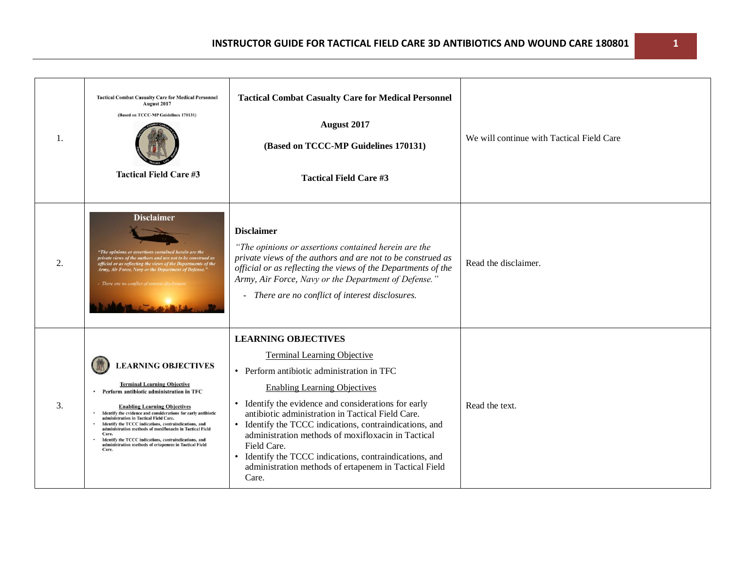| 1. | <b>Tactical Combat Casualty Care for Medical Personnel</b><br>August 2017<br>(Based on TCCC-MP Guidelines 170131)<br><b>Tactical Field Care #3</b>                                                                                                                                                                                                                                                                                                                                                                      | <b>Tactical Combat Casualty Care for Medical Personnel</b><br><b>August 2017</b><br>(Based on TCCC-MP Guidelines 170131)<br><b>Tactical Field Care #3</b>                                                                                                                                                                                                                                                                                                                                                                 | We will continue with Tactical Field Care |
|----|-------------------------------------------------------------------------------------------------------------------------------------------------------------------------------------------------------------------------------------------------------------------------------------------------------------------------------------------------------------------------------------------------------------------------------------------------------------------------------------------------------------------------|---------------------------------------------------------------------------------------------------------------------------------------------------------------------------------------------------------------------------------------------------------------------------------------------------------------------------------------------------------------------------------------------------------------------------------------------------------------------------------------------------------------------------|-------------------------------------------|
| 2. | <b>Disclaimer</b><br>"The opinions or assertions contained herein are the<br>private views of the authors and are not to be construed as<br>official or as reflecting the views of the Departments of the<br>Army, Air Force, Navy or the Department of Defense."<br>- There are no conflict of inte                                                                                                                                                                                                                    | <b>Disclaimer</b><br>"The opinions or assertions contained herein are the<br>private views of the authors and are not to be construed as<br>official or as reflecting the views of the Departments of the<br>Army, Air Force, Navy or the Department of Defense."<br>There are no conflict of interest disclosures.<br>$\blacksquare$                                                                                                                                                                                     | Read the disclaimer.                      |
| 3. | <b>LEARNING OBJECTIVES</b><br><b>Terminal Learning Objective</b><br>Perform antibiotic administration in TFC<br><b>Enabling Learning Objectives</b><br>Identify the evidence and considerations for early antibiotic<br>administration in Tactical Field Care.<br>Identify the TCCC indications, contraindications, and<br>administration methods of moxifloxacin in Tactical Field<br>Care.<br>Identify the TCCC indications, contraindications, and<br>administration methods of ertapenem in Tactical Field<br>Care. | <b>LEARNING OBJECTIVES</b><br><b>Terminal Learning Objective</b><br>• Perform antibiotic administration in TFC<br><b>Enabling Learning Objectives</b><br>Identify the evidence and considerations for early<br>antibiotic administration in Tactical Field Care.<br>Identify the TCCC indications, contraindications, and<br>administration methods of moxifloxacin in Tactical<br>Field Care.<br>Identify the TCCC indications, contraindications, and<br>administration methods of ertapenem in Tactical Field<br>Care. | Read the text.                            |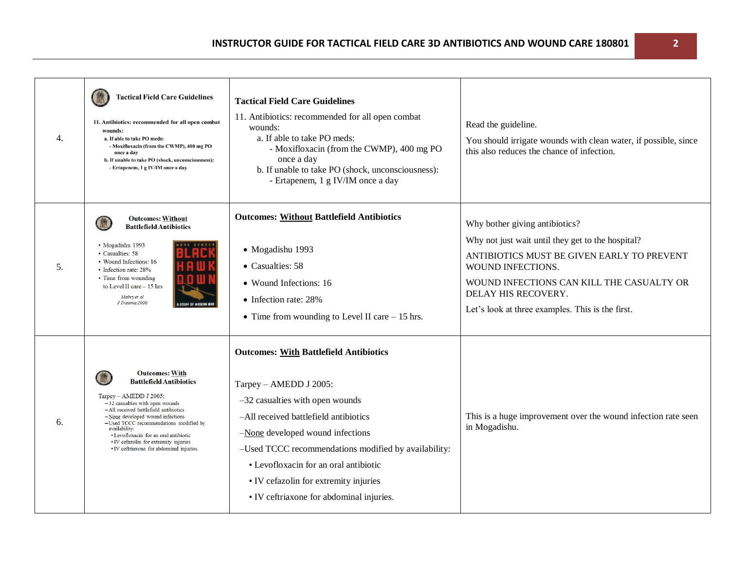| 4. | <b>Tactical Field Care Guidelines</b><br>11. Antibiotics: recommended for all open combat<br>wounds:<br>a. If able to take PO meds:<br>- Moxifloxacin (from the CWMP), 400 mg PO<br>once a day<br>b. If unable to take PO (shock, unconsciousness):<br>- Ertapenem, 1 g IV/IM once a day                                                                                                        | <b>Tactical Field Care Guidelines</b><br>11. Antibiotics: recommended for all open combat<br>wounds:<br>a. If able to take PO meds:<br>- Moxifloxacin (from the CWMP), 400 mg PO<br>once a day<br>b. If unable to take PO (shock, unconsciousness):<br>- Ertapenem, 1 g IV/IM once a day                                                                                        | Read the guideline.<br>You should irrigate wounds with clean water, if possible, since<br>this also reduces the chance of infection.                                                                                                                                           |
|----|-------------------------------------------------------------------------------------------------------------------------------------------------------------------------------------------------------------------------------------------------------------------------------------------------------------------------------------------------------------------------------------------------|---------------------------------------------------------------------------------------------------------------------------------------------------------------------------------------------------------------------------------------------------------------------------------------------------------------------------------------------------------------------------------|--------------------------------------------------------------------------------------------------------------------------------------------------------------------------------------------------------------------------------------------------------------------------------|
| 5. | <b>Outcomes: Without</b><br><b>Battlefield Antibiotics</b><br>• Mogadishu 1993<br>• Casualties: 58<br>• Wound Infections: 16<br>• Infection rate: 28%<br>• Time from wounding<br>to Level II care - 15 hrs<br>Mabry et al<br>J Trauma 2000                                                                                                                                                      | <b>Outcomes: Without Battlefield Antibiotics</b><br>· Mogadishu 1993<br>• Casualties: 58<br>• Wound Infections: 16<br>• Infection rate: 28%<br>• Time from wounding to Level II care $-15$ hrs.                                                                                                                                                                                 | Why bother giving antibiotics?<br>Why not just wait until they get to the hospital?<br>ANTIBIOTICS MUST BE GIVEN EARLY TO PREVENT<br>WOUND INFECTIONS.<br>WOUND INFECTIONS CAN KILL THE CASUALTY OR<br>DELAY HIS RECOVERY.<br>Let's look at three examples. This is the first. |
| 6. | <b>Outcomes: With</b><br><b>Battlefield Antibiotics</b><br>Tarpey - AMEDD J 2005:<br>$-32$ casualties with open wounds<br>-All received battlefield antibiotics<br>$-$ None developed wound infections<br>-Used TCCC recommendations modified by<br>availability:<br>• Levofloxacin for an oral antibiotic<br>• IV cefazolin for extremity injuries<br>• IV ceftriaxone for abdominal injuries. | <b>Outcomes: With Battlefield Antibiotics</b><br>Tarpey - AMEDD J 2005:<br>$-32$ casualties with open wounds<br>-All received battlefield antibiotics<br>-None developed wound infections<br>-Used TCCC recommendations modified by availability:<br>• Levofloxacin for an oral antibiotic<br>• IV cefazolin for extremity injuries<br>• IV ceftriaxone for abdominal injuries. | This is a huge improvement over the wound infection rate seen<br>in Mogadishu.                                                                                                                                                                                                 |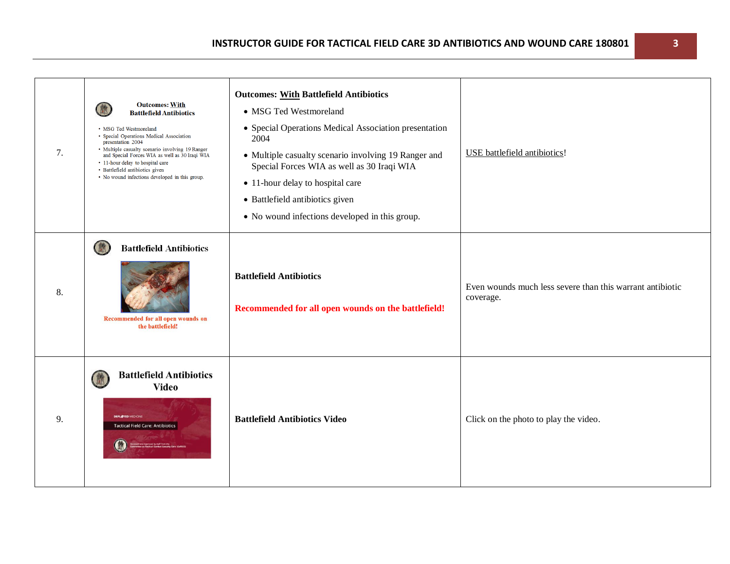| 7. | <b>Outcomes: With</b><br><b>Battlefield Antibiotics</b><br>• MSG Ted Westmoreland<br>• Special Operations Medical Association<br>presentation 2004<br>• Multiple casualty scenario involving 19 Ranger<br>and Special Forces WIA as well as 30 Iraqi WIA<br>• 11-hour delay to hospital care<br>• Battlefield antibiotics given<br>• No wound infections developed in this group. | <b>Outcomes: With Battlefield Antibiotics</b><br>• MSG Ted Westmoreland<br>• Special Operations Medical Association presentation<br>2004<br>• Multiple casualty scenario involving 19 Ranger and<br>Special Forces WIA as well as 30 Iraqi WIA<br>• 11-hour delay to hospital care<br>• Battlefield antibiotics given<br>• No wound infections developed in this group. | USE battlefield antibiotics!                                           |
|----|-----------------------------------------------------------------------------------------------------------------------------------------------------------------------------------------------------------------------------------------------------------------------------------------------------------------------------------------------------------------------------------|-------------------------------------------------------------------------------------------------------------------------------------------------------------------------------------------------------------------------------------------------------------------------------------------------------------------------------------------------------------------------|------------------------------------------------------------------------|
| 8. | <b>Battlefield Antibiotics</b><br>Recommended for all open wounds on<br>the battlefield!                                                                                                                                                                                                                                                                                          | <b>Battlefield Antibiotics</b><br>Recommended for all open wounds on the battlefield!                                                                                                                                                                                                                                                                                   | Even wounds much less severe than this warrant antibiotic<br>coverage. |
| 9. | <b>Battlefield Antibiotics</b><br><b>Video</b><br><b>DEPLAYED MEDICIN</b><br><b>Tactical Field Care: Antibiotics</b>                                                                                                                                                                                                                                                              | <b>Battlefield Antibiotics Video</b>                                                                                                                                                                                                                                                                                                                                    | Click on the photo to play the video.                                  |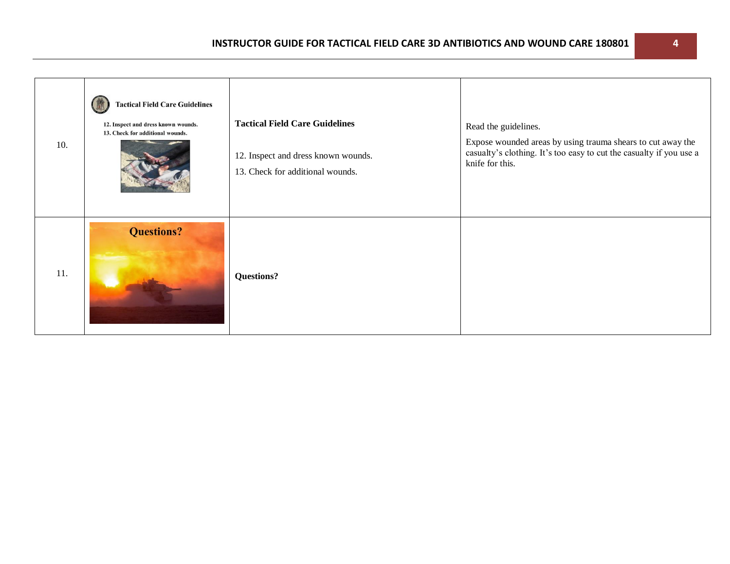| 10. | <b>Tactical Field Care Guidelines</b><br>12. Inspect and dress known wounds.<br>13. Check for additional wounds. | <b>Tactical Field Care Guidelines</b><br>12. Inspect and dress known wounds.<br>13. Check for additional wounds. | Read the guidelines.<br>Expose wounded areas by using trauma shears to cut away the<br>casualty's clothing. It's too easy to cut the casualty if you use a<br>knife for this. |
|-----|------------------------------------------------------------------------------------------------------------------|------------------------------------------------------------------------------------------------------------------|-------------------------------------------------------------------------------------------------------------------------------------------------------------------------------|
| 11. | <b>Questions?</b>                                                                                                | <b>Questions?</b>                                                                                                |                                                                                                                                                                               |